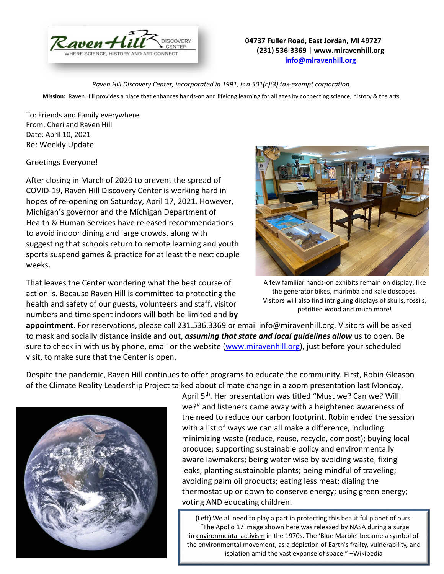

## **04737 Fuller Road, East Jordan, MI 49727 (231) 536-3369 | www.miravenhill.org [info@miravenhill.org](mailto:info@miravenhill.org)**

*Raven Hill Discovery Center, incorporated in 1991, is a 501(c)(3) tax-exempt corporation.*

**Mission:** Raven Hill provides a place that enhances hands-on and lifelong learning for all ages by connecting science, history & the arts.

To: Friends and Family everywhere From: Cheri and Raven Hill Date: April 10, 2021 Re: Weekly Update

## Greetings Everyone!

After closing in March of 2020 to prevent the spread of COVID-19, Raven Hill Discovery Center is working hard in hopes of re-opening on Saturday, April 17, 2021*.* However, Michigan's governor and the Michigan Department of Health & Human Services have released recommendations to avoid indoor dining and large crowds, along with suggesting that schools return to remote learning and youth sports suspend games & practice for at least the next couple weeks.

That leaves the Center wondering what the best course of action is. Because Raven Hill is committed to protecting the health and safety of our guests, volunteers and staff, visitor numbers and time spent indoors will both be limited and **by** 



A few familiar hands-on exhibits remain on display, like the generator bikes, marimba and kaleidoscopes. Visitors will also find intriguing displays of skulls, fossils, petrified wood and much more!

**appointment**. For reservations, please call 231.536.3369 or email info@miravenhill.org. Visitors will be asked to mask and socially distance inside and out, *assuming that state and local guidelines allow* us to open. Be sure to check in with us by phone, email or the website [\(www.miravenhill.org\)](http://www.miravenhill.org/), just before your scheduled visit, to make sure that the Center is open.

Despite the pandemic, Raven Hill continues to offer programs to educate the community. First, Robin Gleason of the Climate Reality Leadership Project talked about climate change in a zoom presentation last Monday,



April 5<sup>th</sup>. Her presentation was titled "Must we? Can we? Will we?" and listeners came away with a heightened awareness of the need to reduce our carbon footprint. Robin ended the session with a list of ways we can all make a difference, including minimizing waste (reduce, reuse, recycle, compost); buying local produce; supporting sustainable policy and environmentally aware lawmakers; being water wise by avoiding waste, fixing leaks, planting sustainable plants; being mindful of traveling; avoiding palm oil products; eating less meat; dialing the thermostat up or down to conserve energy; using green energy; voting AND educating children.

(Left) We all need to play a part in protecting this beautiful planet of ours. "The Apollo 17 image shown here was released by NASA during a surge in [environmental](https://en.m.wikipedia.org/wiki/Environmentalism) activism in the 1970s. The 'Blue Marble' became a symbol of the environmental movement, as a depiction of Earth's frailty, vulnerability, and isolation amid the vast expanse of space." –Wikipedia